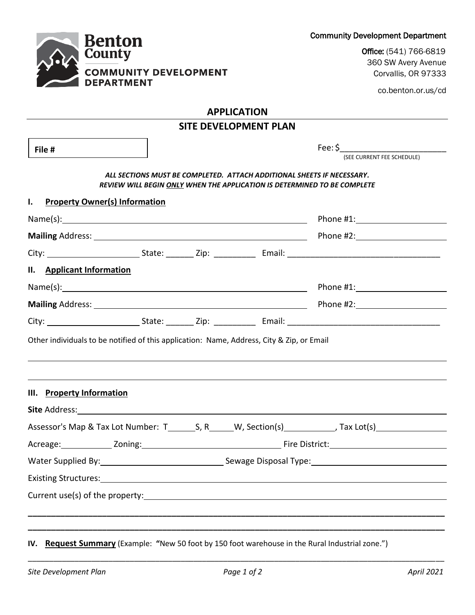Community Development Department

Office: (541) 766-6819 360 SW Avery Avenue Corvallis, OR 97333

co.benton.or.us/cd

## **APPLICATION**

**Benton**<br>County

**DEPARTMENT** 

**COMMUNITY DEVELOPMENT** 

| <b>SITE DEVELOPMENT PLAN</b>                                                              |  |                                                                                                                                                    |                                       |  |
|-------------------------------------------------------------------------------------------|--|----------------------------------------------------------------------------------------------------------------------------------------------------|---------------------------------------|--|
| File #                                                                                    |  |                                                                                                                                                    | Fee: \$<br>(SEE CURRENT FEE SCHEDULE) |  |
|                                                                                           |  | ALL SECTIONS MUST BE COMPLETED. ATTACH ADDITIONAL SHEETS IF NECESSARY.<br>REVIEW WILL BEGIN ONLY WHEN THE APPLICATION IS DETERMINED TO BE COMPLETE |                                       |  |
| $\mathbf{I}$ .<br><b>Property Owner(s) Information</b>                                    |  |                                                                                                                                                    |                                       |  |
| Name(s): Name(s):                                                                         |  |                                                                                                                                                    | Phone #1: Phone #1:                   |  |
|                                                                                           |  |                                                                                                                                                    |                                       |  |
|                                                                                           |  |                                                                                                                                                    |                                       |  |
| II. Applicant Information                                                                 |  |                                                                                                                                                    |                                       |  |
|                                                                                           |  |                                                                                                                                                    |                                       |  |
|                                                                                           |  |                                                                                                                                                    |                                       |  |
|                                                                                           |  |                                                                                                                                                    |                                       |  |
| Other individuals to be notified of this application: Name, Address, City & Zip, or Email |  |                                                                                                                                                    |                                       |  |
| III. Property Information                                                                 |  |                                                                                                                                                    |                                       |  |
|                                                                                           |  |                                                                                                                                                    |                                       |  |
|                                                                                           |  |                                                                                                                                                    |                                       |  |
|                                                                                           |  |                                                                                                                                                    |                                       |  |
|                                                                                           |  |                                                                                                                                                    |                                       |  |
|                                                                                           |  |                                                                                                                                                    |                                       |  |
|                                                                                           |  |                                                                                                                                                    |                                       |  |
|                                                                                           |  |                                                                                                                                                    |                                       |  |
|                                                                                           |  |                                                                                                                                                    |                                       |  |
|                                                                                           |  |                                                                                                                                                    |                                       |  |

**IV. Request Summary** (Example: **"**New 50 foot by 150 foot warehouse in the Rural Industrial zone.")

\_\_\_\_\_\_\_\_\_\_\_\_\_\_\_\_\_\_\_\_\_\_\_\_\_\_\_\_\_\_\_\_\_\_\_\_\_\_\_\_\_\_\_\_\_\_\_\_\_\_\_\_\_\_\_\_\_\_\_\_\_\_\_\_\_\_\_\_\_\_\_\_\_\_\_\_\_\_\_\_\_\_\_\_\_\_\_\_\_\_\_\_\_\_\_\_\_\_